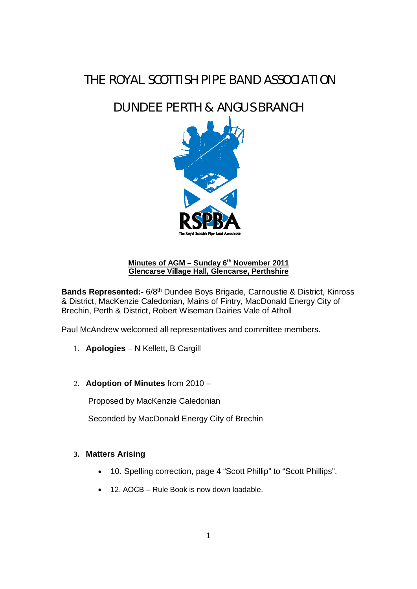# *THE ROYAL SCOTTISH PIPE BAND ASSOCIATION*

# *DUNDEE PERTH & ANGUS BRANCH*



## **Minutes of AGM – Sunday 6th November 2011 Glencarse Village Hall, Glencarse, Perthshire**

**Bands Represented:-** 6/8<sup>th</sup> Dundee Boys Brigade, Carnoustie & District, Kinross & District, MacKenzie Caledonian, Mains of Fintry, MacDonald Energy City of Brechin, Perth & District, Robert Wiseman Dairies Vale of Atholl

Paul McAndrew welcomed all representatives and committee members.

- 1. **Apologies** N Kellett, B Cargill
- 2. **Adoption of Minutes** from 2010 –

Proposed by MacKenzie Caledonian

Seconded by MacDonald Energy City of Brechin

#### **3. Matters Arising**

- 10. Spelling correction, page 4 "Scott Phillip" to "Scott Phillips".
- $\bullet$  12. AOCB Rule Book is now down loadable.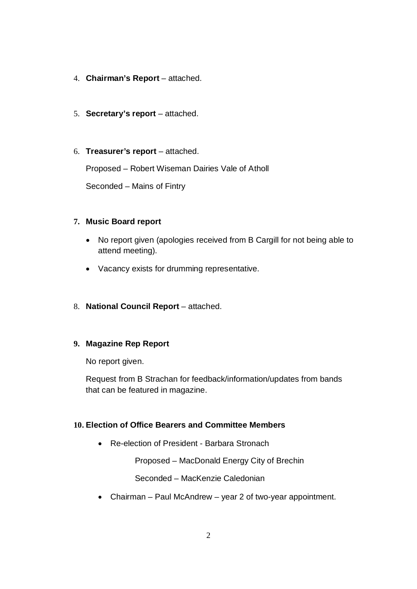- 4. **Chairman's Report** attached.
- 5. **Secretary's report** attached.
- 6. **Treasurer's report** attached.

Proposed – Robert Wiseman Dairies Vale of Atholl

Seconded – Mains of Fintry

### **7. Music Board report**

- No report given (apologies received from B Cargill for not being able to attend meeting).
- Vacancy exists for drumming representative.
- 8. **National Council Report** attached.

### **9. Magazine Rep Report**

No report given.

Request from B Strachan for feedback/information/updates from bands that can be featured in magazine.

### **10. Election of Office Bearers and Committee Members**

• Re-election of President - Barbara Stronach

Proposed – MacDonald Energy City of Brechin

Seconded – MacKenzie Caledonian

 $\bullet$  Chairman – Paul McAndrew – year 2 of two-year appointment.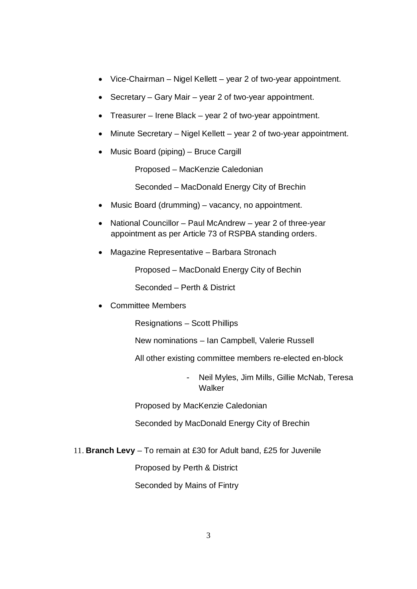- $\bullet$  Vice-Chairman Nigel Kellett year 2 of two-year appointment.
- $\bullet$  Secretary Gary Mair year 2 of two-year appointment.
- Treasurer Irene Black year 2 of two-year appointment.
- Minute Secretary Nigel Kellett year 2 of two-year appointment.
- x Music Board (piping) Bruce Cargill

Proposed – MacKenzie Caledonian

Seconded – MacDonald Energy City of Brechin

- Music Board (drumming) vacancy, no appointment.
- National Councillor Paul McAndrew year 2 of three-year appointment as per Article 73 of RSPBA standing orders.
- Magazine Representative Barbara Stronach

Proposed – MacDonald Energy City of Bechin

Seconded – Perth & District

• Committee Members

Resignations – Scott Phillips

New nominations – Ian Campbell, Valerie Russell

All other existing committee members re-elected en-block

- Neil Myles, Jim Mills, Gillie McNab, Teresa **Walker** 

Proposed by MacKenzie Caledonian

Seconded by MacDonald Energy City of Brechin

11. **Branch Levy** – To remain at £30 for Adult band, £25 for Juvenile

Proposed by Perth & District

Seconded by Mains of Fintry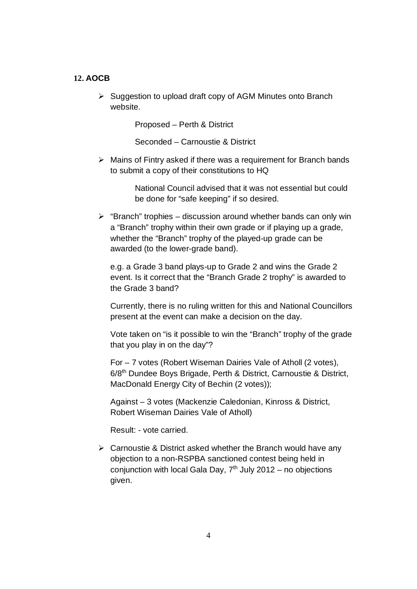#### **12. AOCB**

¾ Suggestion to upload draft copy of AGM Minutes onto Branch website.

Proposed – Perth & District

Seconded – Carnoustie & District

 $\triangleright$  Mains of Fintry asked if there was a requirement for Branch bands to submit a copy of their constitutions to HQ

> National Council advised that it was not essential but could be done for "safe keeping" if so desired.

 $\triangleright$  "Branch" trophies – discussion around whether bands can only win a "Branch" trophy within their own grade or if playing up a grade, whether the "Branch" trophy of the played-up grade can be awarded (to the lower-grade band).

e.g. a Grade 3 band plays-up to Grade 2 and wins the Grade 2 event. Is it correct that the "Branch Grade 2 trophy" is awarded to the Grade 3 band?

Currently, there is no ruling written for this and National Councillors present at the event can make a decision on the day.

Vote taken on "is it possible to win the "Branch" trophy of the grade that you play in on the day"?

For – 7 votes (Robert Wiseman Dairies Vale of Atholl (2 votes), 6/8th Dundee Boys Brigade, Perth & District, Carnoustie & District, MacDonald Energy City of Bechin (2 votes));

Against – 3 votes (Mackenzie Caledonian, Kinross & District, Robert Wiseman Dairies Vale of Atholl)

Result: - vote carried.

 $\triangleright$  Carnoustie & District asked whether the Branch would have any objection to a non-RSPBA sanctioned contest being held in conjunction with local Gala Day,  $7<sup>th</sup>$  July 2012 – no objections given.